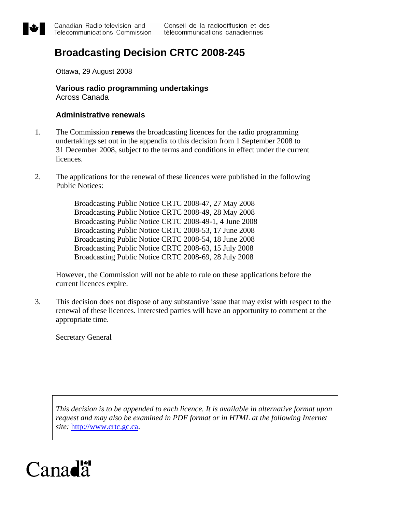

## **Broadcasting Decision CRTC 2008-245**

Ottawa, 29 August 2008

**Various radio programming undertakings**  Across Canada

#### **Administrative renewals**

- 1. The Commission **renews** the broadcasting licences for the radio programming undertakings set out in the appendix to this decision from 1 September 2008 to 31 December 2008, subject to the terms and conditions in effect under the current licences.
- 2. The applications for the renewal of these licences were published in the following Public Notices:

Broadcasting Public Notice CRTC 2008-47, 27 May 2008 Broadcasting Public Notice CRTC 2008-49, 28 May 2008 Broadcasting Public Notice CRTC 2008-49-1, 4 June 2008 Broadcasting Public Notice CRTC 2008-53, 17 June 2008 Broadcasting Public Notice CRTC 2008-54, 18 June 2008 Broadcasting Public Notice CRTC 2008-63, 15 July 2008 Broadcasting Public Notice CRTC 2008-69, 28 July 2008

However, the Commission will not be able to rule on these applications before the current licences expire.

3. This decision does not dispose of any substantive issue that may exist with respect to the renewal of these licences. Interested parties will have an opportunity to comment at the appropriate time.

Secretary General

*This decision is to be appended to each licence. It is available in alternative format upon request and may also be examined in PDF format or in HTML at the following Internet site:* [http://www.crtc.gc.ca.](http://www.crtc.gc.ca/)

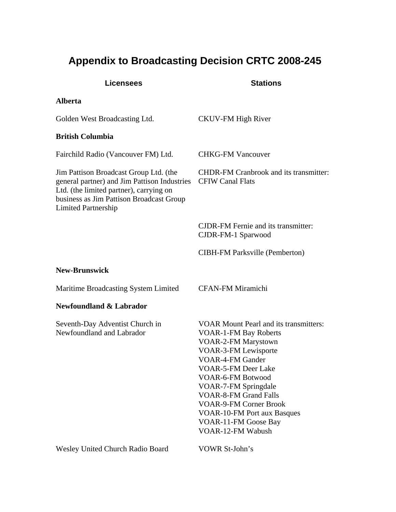# **Appendix to Broadcasting Decision CRTC 2008-245**

| <b>Licensees</b>                                                                                                                                                                                            | <b>Stations</b>                                                                                                                                                                                                                                                                                                                                                                               |
|-------------------------------------------------------------------------------------------------------------------------------------------------------------------------------------------------------------|-----------------------------------------------------------------------------------------------------------------------------------------------------------------------------------------------------------------------------------------------------------------------------------------------------------------------------------------------------------------------------------------------|
| <b>Alberta</b>                                                                                                                                                                                              |                                                                                                                                                                                                                                                                                                                                                                                               |
| Golden West Broadcasting Ltd.                                                                                                                                                                               | <b>CKUV-FM High River</b>                                                                                                                                                                                                                                                                                                                                                                     |
| <b>British Columbia</b>                                                                                                                                                                                     |                                                                                                                                                                                                                                                                                                                                                                                               |
| Fairchild Radio (Vancouver FM) Ltd.                                                                                                                                                                         | <b>CHKG-FM Vancouver</b>                                                                                                                                                                                                                                                                                                                                                                      |
| Jim Pattison Broadcast Group Ltd. (the<br>general partner) and Jim Pattison Industries<br>Ltd. (the limited partner), carrying on<br>business as Jim Pattison Broadcast Group<br><b>Limited Partnership</b> | <b>CHDR-FM Cranbrook and its transmitter:</b><br><b>CFIW Canal Flats</b>                                                                                                                                                                                                                                                                                                                      |
|                                                                                                                                                                                                             | <b>CJDR-FM Fernie and its transmitter:</b><br>CJDR-FM-1 Sparwood                                                                                                                                                                                                                                                                                                                              |
|                                                                                                                                                                                                             | <b>CIBH-FM Parksville (Pemberton)</b>                                                                                                                                                                                                                                                                                                                                                         |
| <b>New-Brunswick</b>                                                                                                                                                                                        |                                                                                                                                                                                                                                                                                                                                                                                               |
| Maritime Broadcasting System Limited                                                                                                                                                                        | <b>CFAN-FM Miramichi</b>                                                                                                                                                                                                                                                                                                                                                                      |
| <b>Newfoundland &amp; Labrador</b>                                                                                                                                                                          |                                                                                                                                                                                                                                                                                                                                                                                               |
| Seventh-Day Adventist Church in<br>Newfoundland and Labrador                                                                                                                                                | <b>VOAR Mount Pearl and its transmitters:</b><br><b>VOAR-1-FM Bay Roberts</b><br>VOAR-2-FM Marystown<br><b>VOAR-3-FM Lewisporte</b><br><b>VOAR-4-FM Gander</b><br>VOAR-5-FM Deer Lake<br>VOAR-6-FM Botwood<br>VOAR-7-FM Springdale<br><b>VOAR-8-FM Grand Falls</b><br><b>VOAR-9-FM Corner Brook</b><br><b>VOAR-10-FM Port aux Basques</b><br>VOAR-11-FM Goose Bay<br><b>VOAR-12-FM Wabush</b> |
| Wesley United Church Radio Board                                                                                                                                                                            | VOWR St-John's                                                                                                                                                                                                                                                                                                                                                                                |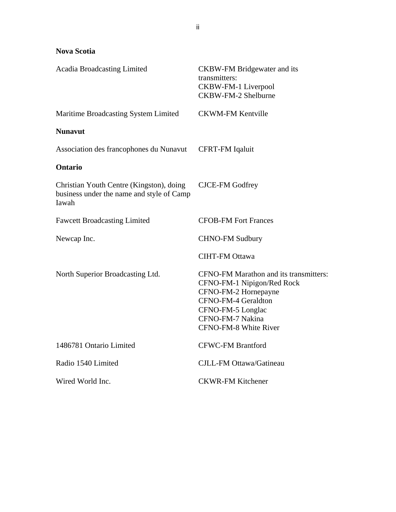### **Nova Scotia**

| <b>Acadia Broadcasting Limited</b>                                                             | <b>CKBW-FM Bridgewater and its</b><br>transmitters:<br>CKBW-FM-1 Liverpool<br><b>CKBW-FM-2 Shelburne</b>                                                                              |
|------------------------------------------------------------------------------------------------|---------------------------------------------------------------------------------------------------------------------------------------------------------------------------------------|
| <b>Maritime Broadcasting System Limited</b>                                                    | <b>CKWM-FM Kentville</b>                                                                                                                                                              |
| <b>Nunavut</b>                                                                                 |                                                                                                                                                                                       |
| Association des francophones du Nunavut                                                        | <b>CFRT-FM Iqaluit</b>                                                                                                                                                                |
| <b>Ontario</b>                                                                                 |                                                                                                                                                                                       |
| Christian Youth Centre (Kingston), doing<br>business under the name and style of Camp<br>Iawah | <b>CJCE-FM Godfrey</b>                                                                                                                                                                |
| <b>Fawcett Broadcasting Limited</b>                                                            | <b>CFOB-FM Fort Frances</b>                                                                                                                                                           |
| Newcap Inc.                                                                                    | <b>CHNO-FM Sudbury</b>                                                                                                                                                                |
|                                                                                                | <b>CIHT-FM Ottawa</b>                                                                                                                                                                 |
| North Superior Broadcasting Ltd.                                                               | CFNO-FM Marathon and its transmitters:<br>CFNO-FM-1 Nipigon/Red Rock<br>CFNO-FM-2 Hornepayne<br>CFNO-FM-4 Geraldton<br>CFNO-FM-5 Longlac<br>CFNO-FM-7 Nakina<br>CFNO-FM-8 White River |
| 1486781 Ontario Limited                                                                        | <b>CFWC-FM Brantford</b>                                                                                                                                                              |
| Radio 1540 Limited                                                                             | CJLL-FM Ottawa/Gatineau                                                                                                                                                               |
| Wired World Inc.                                                                               | <b>CKWR-FM Kitchener</b>                                                                                                                                                              |